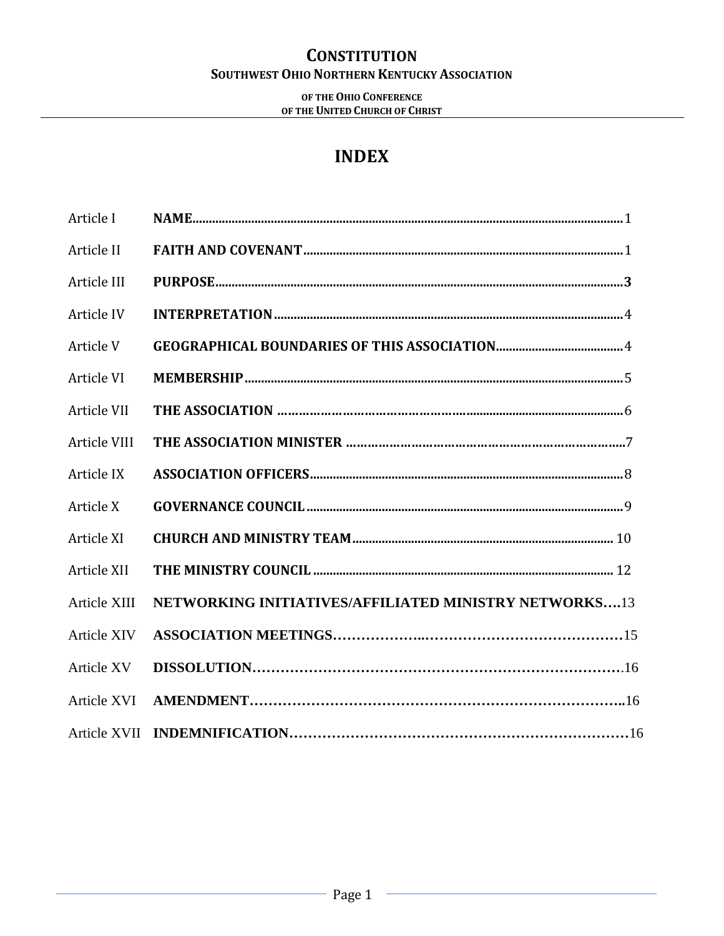### **OF THE OHIO CONFERENCE OF THE UNITED CHURCH OF CHRIST**

# **INDEX**

| Article I         |                                                              |
|-------------------|--------------------------------------------------------------|
| Article II        |                                                              |
| Article III       |                                                              |
| Article IV        |                                                              |
| Article V         |                                                              |
| Article VI        |                                                              |
| Article VII       |                                                              |
| Article VIII      |                                                              |
| Article IX        |                                                              |
| Article X         |                                                              |
| Article XI        |                                                              |
| Article XII       |                                                              |
| Article XIII      | <b>NETWORKING INITIATIVES/AFFILIATED MINISTRY NETWORKS13</b> |
| Article XIV       |                                                              |
| <b>Article XV</b> |                                                              |
| Article XVI       |                                                              |
|                   |                                                              |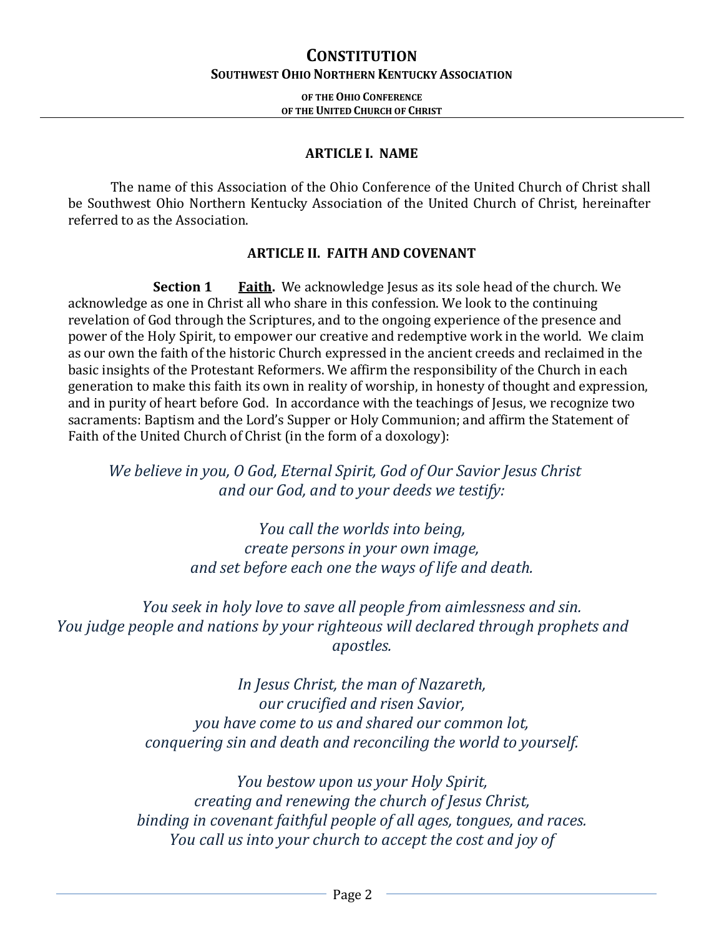### **OF THE OHIO CONFERENCE OF THE UNITED CHURCH OF CHRIST**

### **ARTICLE I. NAME**

The name of this Association of the Ohio Conference of the United Church of Christ shall be Southwest Ohio Northern Kentucky Association of the United Church of Christ, hereinafter referred to as the Association.

### **ARTICLE II. FAITH AND COVENANT**

**Section 1 Faith.** We acknowledge Jesus as its sole head of the church. We acknowledge as one in Christ all who share in this confession. We look to the continuing revelation of God through the Scriptures, and to the ongoing experience of the presence and power of the Holy Spirit, to empower our creative and redemptive work in the world. We claim as our own the faith of the historic Church expressed in the ancient creeds and reclaimed in the basic insights of the Protestant Reformers. We affirm the responsibility of the Church in each generation to make this faith its own in reality of worship, in honesty of thought and expression, and in purity of heart before God. In accordance with the teachings of Jesus, we recognize two sacraments: Baptism and the Lord's Supper or Holy Communion; and affirm the Statement of Faith of the United Church of Christ (in the form of a doxology):

*We believe in you, O God, Eternal Spirit, God of Our Savior Jesus Christ and our God, and to your deeds we testify:*

> *You call the worlds into being, create persons in your own image, and set before each one the ways of life and death.*

*You seek in holy love to save all people from aimlessness and sin. You judge people and nations by your righteous will declared through prophets and apostles.*

> *In Jesus Christ, the man of Nazareth, our crucified and risen Savior, you have come to us and shared our common lot, conquering sin and death and reconciling the world to yourself.*

*You bestow upon us your Holy Spirit, creating and renewing the church of Jesus Christ, binding in covenant faithful people of all ages, tongues, and races. You call us into your church to accept the cost and joy of*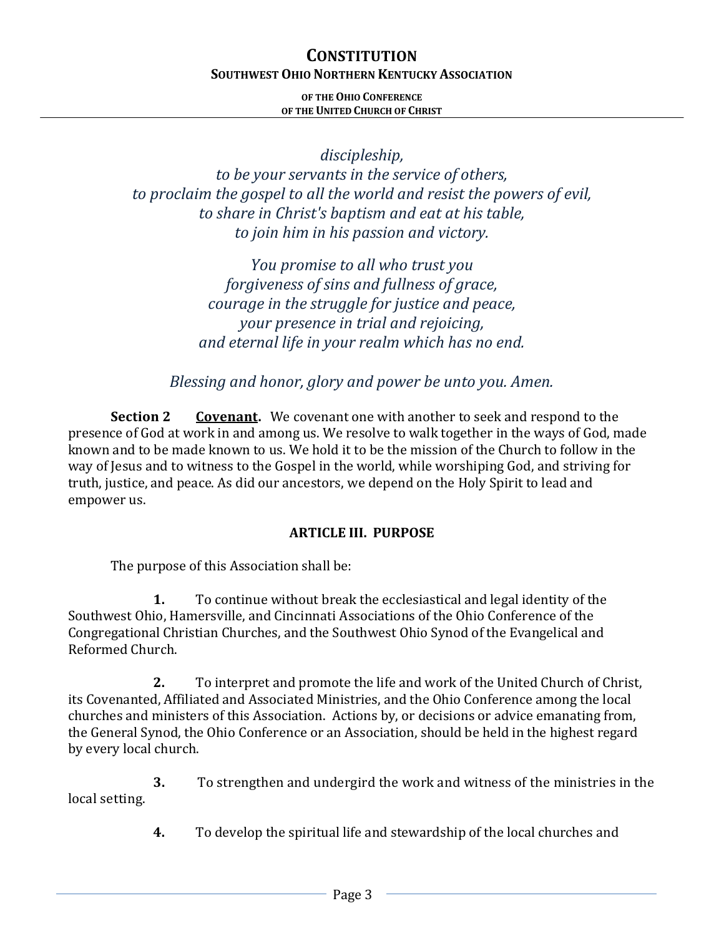**OF THE OHIO CONFERENCE OF THE UNITED CHURCH OF CHRIST**

*discipleship,*

*to be your servants in the service of others, to proclaim the gospel to all the world and resist the powers of evil, to share in Christ's baptism and eat at his table, to join him in his passion and victory.*

> *You promise to all who trust you forgiveness of sins and fullness of grace, courage in the struggle for justice and peace, your presence in trial and rejoicing, and eternal life in your realm which has no end.*

*Blessing and honor, glory and power be unto you. Amen.*

**Section 2 Covenant.** We covenant one with another to seek and respond to the presence of God at work in and among us. We resolve to walk together in the ways of God, made known and to be made known to us. We hold it to be the mission of the Church to follow in the way of Jesus and to witness to the Gospel in the world, while worshiping God, and striving for truth, justice, and peace. As did our ancestors, we depend on the Holy Spirit to lead and empower us.

# **ARTICLE III. PURPOSE**

The purpose of this Association shall be:

**1.** To continue without break the ecclesiastical and legal identity of the Southwest Ohio, Hamersville, and Cincinnati Associations of the Ohio Conference of the Congregational Christian Churches, and the Southwest Ohio Synod of the Evangelical and Reformed Church.

**2.** To interpret and promote the life and work of the United Church of Christ, its Covenanted, Affiliated and Associated Ministries, and the Ohio Conference among the local churches and ministers of this Association. Actions by, or decisions or advice emanating from, the General Synod, the Ohio Conference or an Association, should be held in the highest regard by every local church.

**3.** To strengthen and undergird the work and witness of the ministries in the local setting.

**4.** To develop the spiritual life and stewardship of the local churches and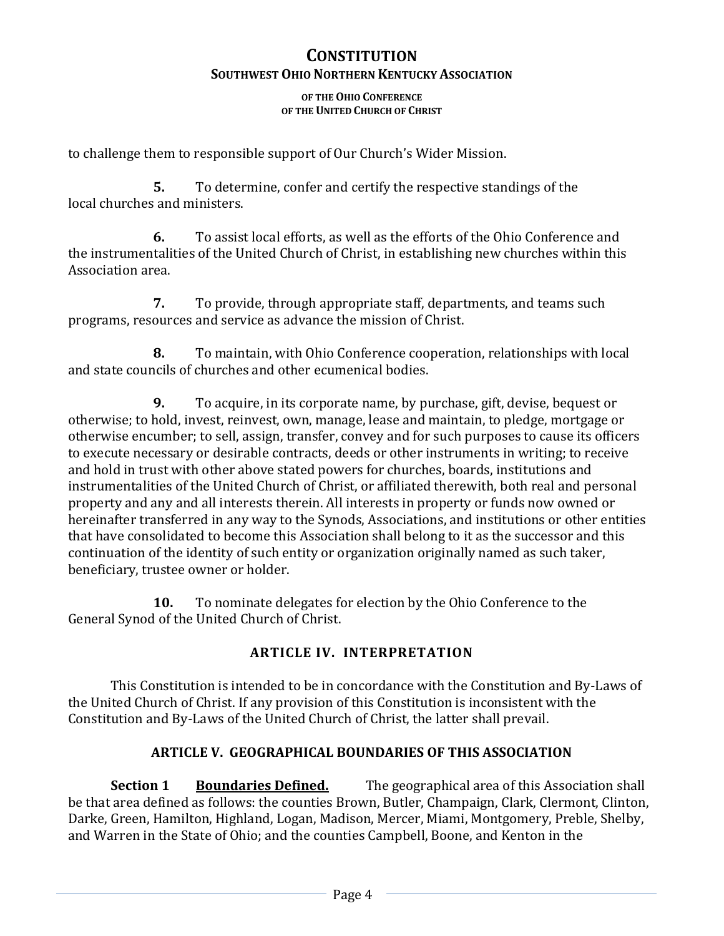#### **OF THE OHIO CONFERENCE OF THE UNITED CHURCH OF CHRIST**

to challenge them to responsible support of Our Church's Wider Mission.

**5.** To determine, confer and certify the respective standings of the local churches and ministers.

**6.** To assist local efforts, as well as the efforts of the Ohio Conference and the instrumentalities of the United Church of Christ, in establishing new churches within this Association area.

**7.** To provide, through appropriate staff, departments, and teams such programs, resources and service as advance the mission of Christ.

**8.** To maintain, with Ohio Conference cooperation, relationships with local and state councils of churches and other ecumenical bodies.

**9.** To acquire, in its corporate name, by purchase, gift, devise, bequest or otherwise; to hold, invest, reinvest, own, manage, lease and maintain, to pledge, mortgage or otherwise encumber; to sell, assign, transfer, convey and for such purposes to cause its officers to execute necessary or desirable contracts, deeds or other instruments in writing; to receive and hold in trust with other above stated powers for churches, boards, institutions and instrumentalities of the United Church of Christ, or affiliated therewith, both real and personal property and any and all interests therein. All interests in property or funds now owned or hereinafter transferred in any way to the Synods, Associations, and institutions or other entities that have consolidated to become this Association shall belong to it as the successor and this continuation of the identity of such entity or organization originally named as such taker, beneficiary, trustee owner or holder.

**10.** To nominate delegates for election by the Ohio Conference to the General Synod of the United Church of Christ.

# **ARTICLE IV. INTERPRETATION**

This Constitution is intended to be in concordance with the Constitution and By-Laws of the United Church of Christ. If any provision of this Constitution is inconsistent with the Constitution and By-Laws of the United Church of Christ, the latter shall prevail.

# **ARTICLE V. GEOGRAPHICAL BOUNDARIES OF THIS ASSOCIATION**

**Section 1** Boundaries Defined. The geographical area of this Association shall be that area defined as follows: the counties Brown, Butler, Champaign, Clark, Clermont, Clinton, Darke, Green, Hamilton, Highland, Logan, Madison, Mercer, Miami, Montgomery, Preble, Shelby, and Warren in the State of Ohio; and the counties Campbell, Boone, and Kenton in the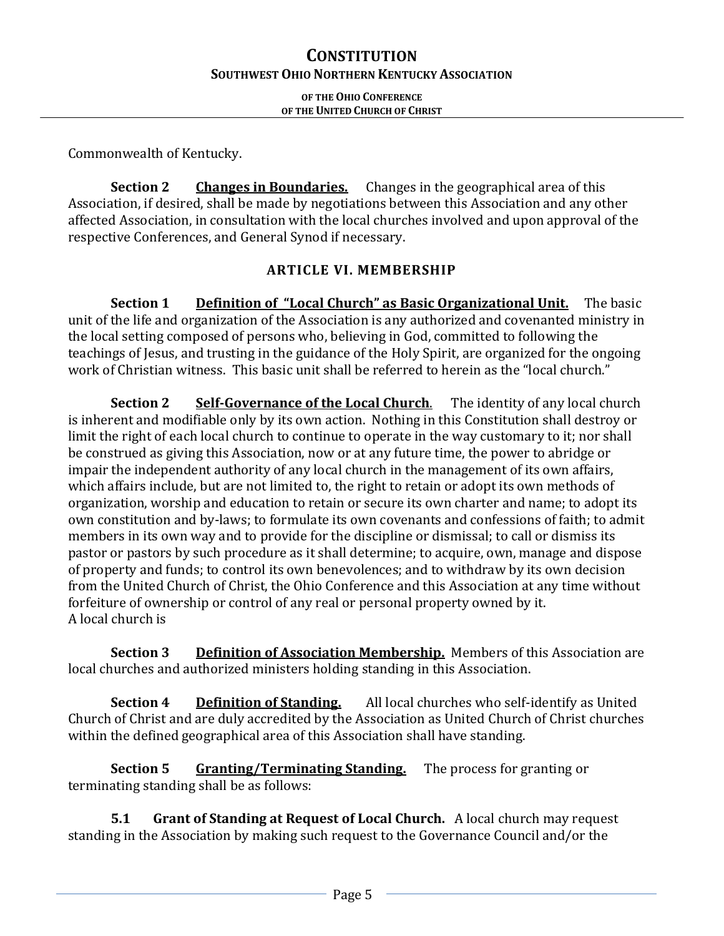**OF THE OHIO CONFERENCE OF THE UNITED CHURCH OF CHRIST**

Commonwealth of Kentucky.

**Section 2 Changes in Boundaries.** Changes in the geographical area of this Association, if desired, shall be made by negotiations between this Association and any other affected Association, in consultation with the local churches involved and upon approval of the respective Conferences, and General Synod if necessary.

### **ARTICLE VI. MEMBERSHIP**

**Section 1 Definition of "Local Church" as Basic Organizational Unit.** The basic unit of the life and organization of the Association is any authorized and covenanted ministry in the local setting composed of persons who, believing in God, committed to following the teachings of Jesus, and trusting in the guidance of the Holy Spirit, are organized for the ongoing work of Christian witness. This basic unit shall be referred to herein as the "local church."

**Section 2 Self-Governance of the Local Church.** The identity of any local church is inherent and modifiable only by its own action. Nothing in this Constitution shall destroy or limit the right of each local church to continue to operate in the way customary to it; nor shall be construed as giving this Association, now or at any future time, the power to abridge or impair the independent authority of any local church in the management of its own affairs, which affairs include, but are not limited to, the right to retain or adopt its own methods of organization, worship and education to retain or secure its own charter and name; to adopt its own constitution and by-laws; to formulate its own covenants and confessions of faith; to admit members in its own way and to provide for the discipline or dismissal; to call or dismiss its pastor or pastors by such procedure as it shall determine; to acquire, own, manage and dispose of property and funds; to control its own benevolences; and to withdraw by its own decision from the United Church of Christ, the Ohio Conference and this Association at any time without forfeiture of ownership or control of any real or personal property owned by it. A local church is

**Section 3** Definition of Association Membership. Members of this Association are local churches and authorized ministers holding standing in this Association.

**Section 4** Definition of **Standing.** All local churches who self-identify as United Church of Christ and are duly accredited by the Association as United Church of Christ churches within the defined geographical area of this Association shall have standing.

**Section 5 Granting/Terminating Standing.** The process for granting or terminating standing shall be as follows:

**5.1 Grant of Standing at Request of Local Church.** A local church may request standing in the Association by making such request to the Governance Council and/or the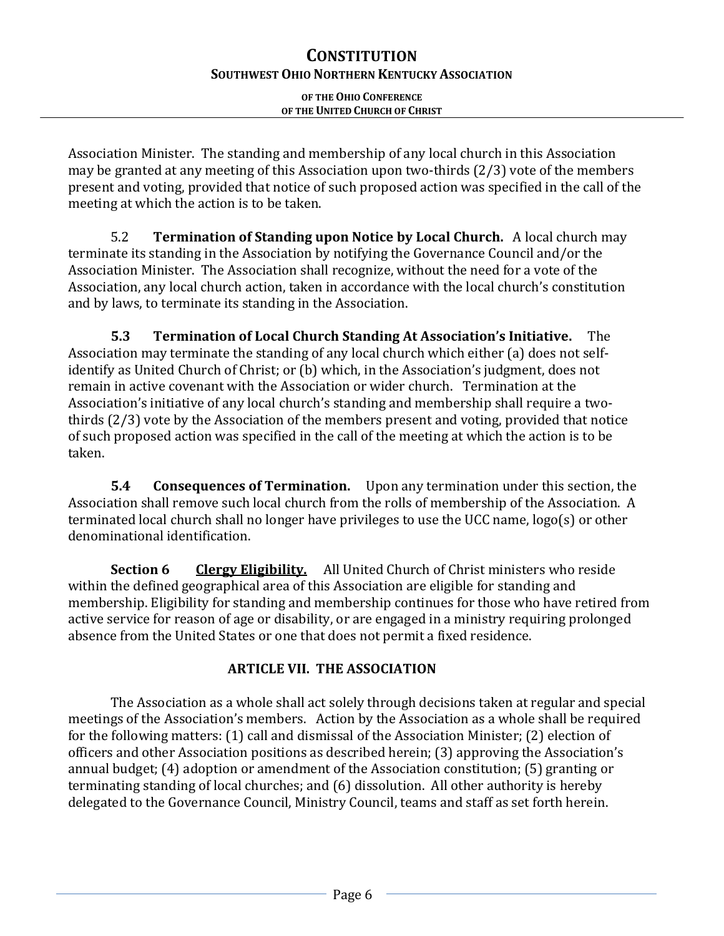### **OF THE OHIO CONFERENCE OF THE UNITED CHURCH OF CHRIST**

Association Minister. The standing and membership of any local church in this Association may be granted at any meeting of this Association upon two-thirds (2/3) vote of the members present and voting, provided that notice of such proposed action was specified in the call of the meeting at which the action is to be taken.

5.2 **Termination of Standing upon Notice by Local Church.** A local church may terminate its standing in the Association by notifying the Governance Council and/or the Association Minister. The Association shall recognize, without the need for a vote of the Association, any local church action, taken in accordance with the local church's constitution and by laws, to terminate its standing in the Association.

**5.3 Termination of Local Church Standing At Association's Initiative.** The Association may terminate the standing of any local church which either (a) does not selfidentify as United Church of Christ; or (b) which, in the Association's judgment, does not remain in active covenant with the Association or wider church. Termination at the Association's initiative of any local church's standing and membership shall require a twothirds (2/3) vote by the Association of the members present and voting, provided that notice of such proposed action was specified in the call of the meeting at which the action is to be taken.

**5.4 Consequences of Termination.** Upon any termination under this section, the Association shall remove such local church from the rolls of membership of the Association. A terminated local church shall no longer have privileges to use the UCC name, logo(s) or other denominational identification.

**Section 6 Clergy Eligibility.** All United Church of Christ ministers who reside within the defined geographical area of this Association are eligible for standing and membership. Eligibility for standing and membership continues for those who have retired from active service for reason of age or disability, or are engaged in a ministry requiring prolonged absence from the United States or one that does not permit a fixed residence.

# **ARTICLE VII. THE ASSOCIATION**

The Association as a whole shall act solely through decisions taken at regular and special meetings of the Association's members. Action by the Association as a whole shall be required for the following matters: (1) call and dismissal of the Association Minister; (2) election of officers and other Association positions as described herein; (3) approving the Association's annual budget; (4) adoption or amendment of the Association constitution; (5) granting or terminating standing of local churches; and (6) dissolution. All other authority is hereby delegated to the Governance Council, Ministry Council, teams and staff as set forth herein.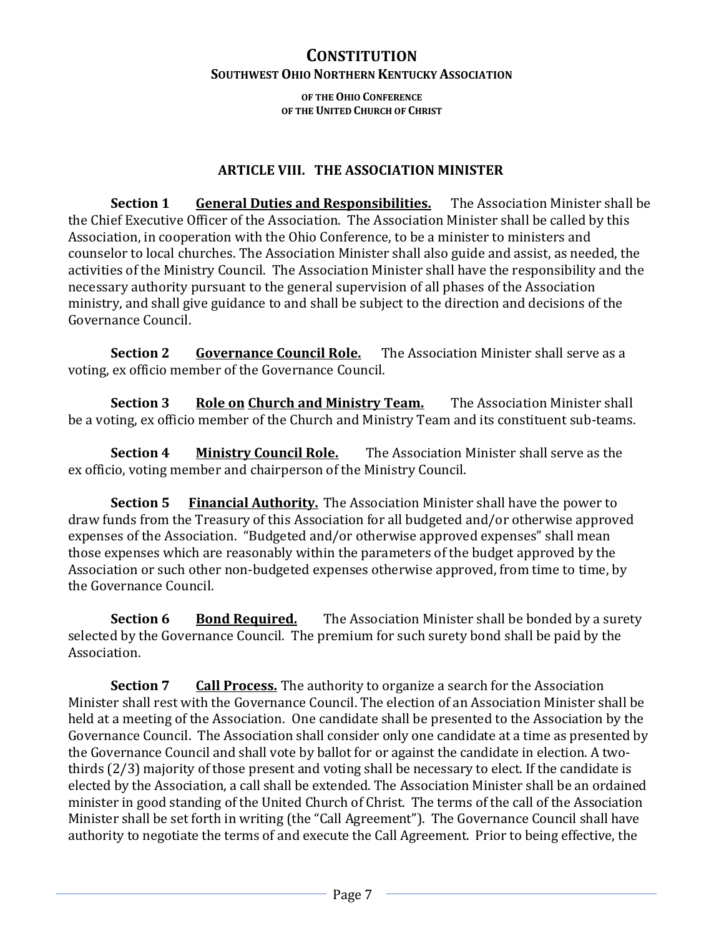**OF THE OHIO CONFERENCE OF THE UNITED CHURCH OF CHRIST**

### **ARTICLE VIII. THE ASSOCIATION MINISTER**

**Section 1 General Duties and Responsibilities.** The Association Minister shall be the Chief Executive Officer of the Association. The Association Minister shall be called by this Association, in cooperation with the Ohio Conference, to be a minister to ministers and counselor to local churches. The Association Minister shall also guide and assist, as needed, the activities of the Ministry Council. The Association Minister shall have the responsibility and the necessary authority pursuant to the general supervision of all phases of the Association ministry, and shall give guidance to and shall be subject to the direction and decisions of the Governance Council.

**Section 2 Governance Council Role.** The Association Minister shall serve as a voting, ex officio member of the Governance Council.

**Section 3 Role on Church and Ministry Team.** The Association Minister shall be a voting, ex officio member of the Church and Ministry Team and its constituent sub-teams.

**Section 4 Ministry Council Role.** The Association Minister shall serve as the ex officio, voting member and chairperson of the Ministry Council.

**Section 5** Financial Authority. The Association Minister shall have the power to draw funds from the Treasury of this Association for all budgeted and/or otherwise approved expenses of the Association. "Budgeted and/or otherwise approved expenses" shall mean those expenses which are reasonably within the parameters of the budget approved by the Association or such other non-budgeted expenses otherwise approved, from time to time, by the Governance Council.

**Section 6 Bond Required.** The Association Minister shall be bonded by a surety selected by the Governance Council. The premium for such surety bond shall be paid by the Association.

**Section 7 Call Process.** The authority to organize a search for the Association Minister shall rest with the Governance Council. The election of an Association Minister shall be held at a meeting of the Association. One candidate shall be presented to the Association by the Governance Council. The Association shall consider only one candidate at a time as presented by the Governance Council and shall vote by ballot for or against the candidate in election. A twothirds (2/3) majority of those present and voting shall be necessary to elect. If the candidate is elected by the Association, a call shall be extended. The Association Minister shall be an ordained minister in good standing of the United Church of Christ. The terms of the call of the Association Minister shall be set forth in writing (the "Call Agreement"). The Governance Council shall have authority to negotiate the terms of and execute the Call Agreement. Prior to being effective, the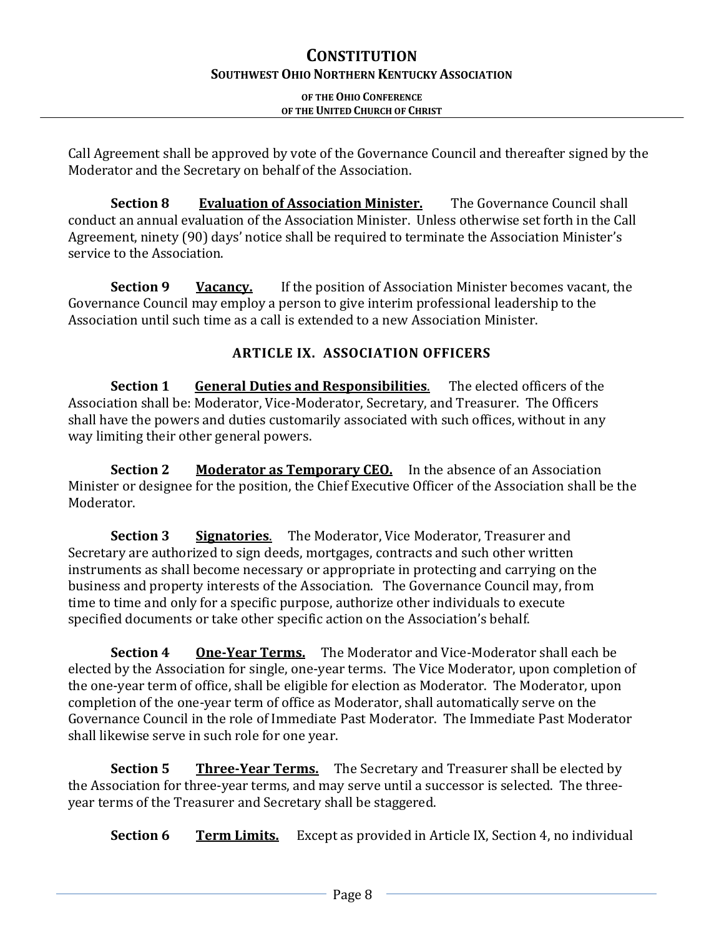### **OF THE OHIO CONFERENCE OF THE UNITED CHURCH OF CHRIST**

Call Agreement shall be approved by vote of the Governance Council and thereafter signed by the Moderator and the Secretary on behalf of the Association.

**Section 8 Evaluation of Association Minister.** The Governance Council shall conduct an annual evaluation of the Association Minister. Unless otherwise set forth in the Call Agreement, ninety (90) days' notice shall be required to terminate the Association Minister's service to the Association.

**Section 9 Vacancy.** If the position of Association Minister becomes vacant, the Governance Council may employ a person to give interim professional leadership to the Association until such time as a call is extended to a new Association Minister.

# **ARTICLE IX. ASSOCIATION OFFICERS**

**Section 1 General Duties and Responsibilities**. The elected officers of the Association shall be: Moderator, Vice-Moderator, Secretary, and Treasurer. The Officers shall have the powers and duties customarily associated with such offices, without in any way limiting their other general powers.

**Section 2 Moderator as Temporary CEO.** In the absence of an Association Minister or designee for the position, the Chief Executive Officer of the Association shall be the Moderator.

**Section 3 Signatories**. The Moderator, Vice Moderator, Treasurer and Secretary are authorized to sign deeds, mortgages, contracts and such other written instruments as shall become necessary or appropriate in protecting and carrying on the business and property interests of the Association. The Governance Council may, from time to time and only for a specific purpose, authorize other individuals to execute specified documents or take other specific action on the Association's behalf.

**Section 4 One-Year Terms.** The Moderator and Vice-Moderator shall each be elected by the Association for single, one-year terms. The Vice Moderator, upon completion of the one-year term of office, shall be eligible for election as Moderator. The Moderator, upon completion of the one-year term of office as Moderator, shall automatically serve on the Governance Council in the role of Immediate Past Moderator. The Immediate Past Moderator shall likewise serve in such role for one year.

**Section 5 Three-Year Terms.** The Secretary and Treasurer shall be elected by the Association for three-year terms, and may serve until a successor is selected. The threeyear terms of the Treasurer and Secretary shall be staggered.

**Section 6 Term Limits.** Except as provided in Article IX, Section 4, no individual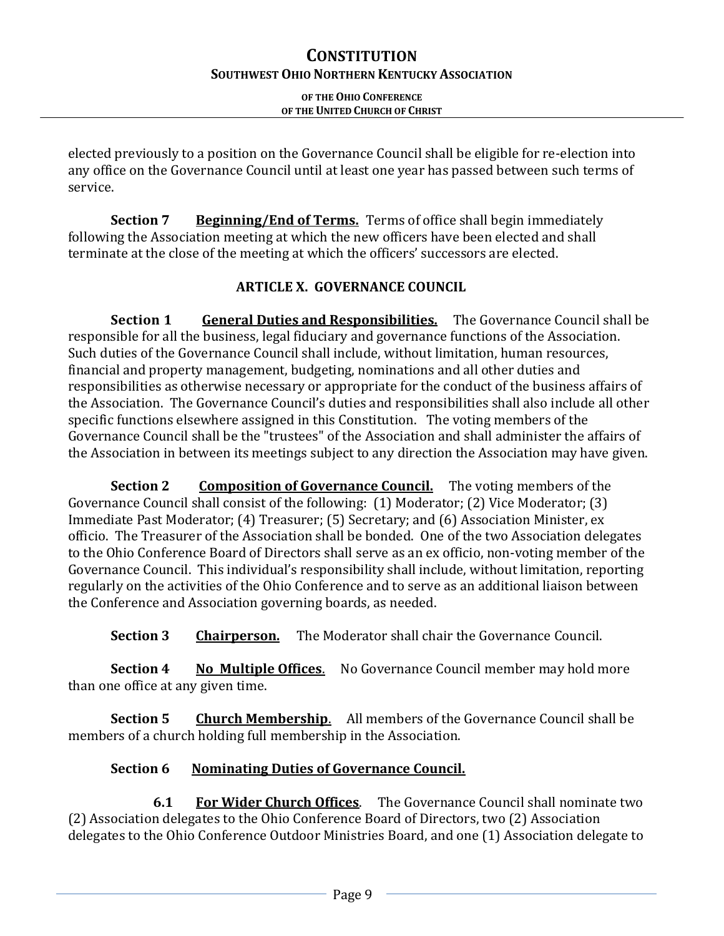### **OF THE OHIO CONFERENCE OF THE UNITED CHURCH OF CHRIST**

elected previously to a position on the Governance Council shall be eligible for re-election into any office on the Governance Council until at least one year has passed between such terms of service.

**Section 7 Beginning/End of Terms.** Terms of office shall begin immediately following the Association meeting at which the new officers have been elected and shall terminate at the close of the meeting at which the officers' successors are elected.

# **ARTICLE X. GOVERNANCE COUNCIL**

**Section 1** General Duties and Responsibilities. The Governance Council shall be responsible for all the business, legal fiduciary and governance functions of the Association. Such duties of the Governance Council shall include, without limitation, human resources, financial and property management, budgeting, nominations and all other duties and responsibilities as otherwise necessary or appropriate for the conduct of the business affairs of the Association. The Governance Council's duties and responsibilities shall also include all other specific functions elsewhere assigned in this Constitution. The voting members of the Governance Council shall be the "trustees" of the Association and shall administer the affairs of the Association in between its meetings subject to any direction the Association may have given.

**Section 2 Composition of Governance Council.** The voting members of the Governance Council shall consist of the following: (1) Moderator; (2) Vice Moderator; (3) Immediate Past Moderator; (4) Treasurer; (5) Secretary; and (6) Association Minister, ex officio. The Treasurer of the Association shall be bonded. One of the two Association delegates to the Ohio Conference Board of Directors shall serve as an ex officio, non-voting member of the Governance Council. This individual's responsibility shall include, without limitation, reporting regularly on the activities of the Ohio Conference and to serve as an additional liaison between the Conference and Association governing boards, as needed.

**Section 3 Chairperson.** The Moderator shall chair the Governance Council.

**Section 4 •• No Multiple Offices.** No Governance Council member may hold more than one office at any given time.

**Section 5 Church Membership**.All members of the Governance Council shall be members of a church holding full membership in the Association.

# **Section 6 Nominating Duties of Governance Council.**

**6.1 For Wider Church Offices**. The Governance Council shall nominate two (2) Association delegates to the Ohio Conference Board of Directors, two (2) Association delegates to the Ohio Conference Outdoor Ministries Board, and one (1) Association delegate to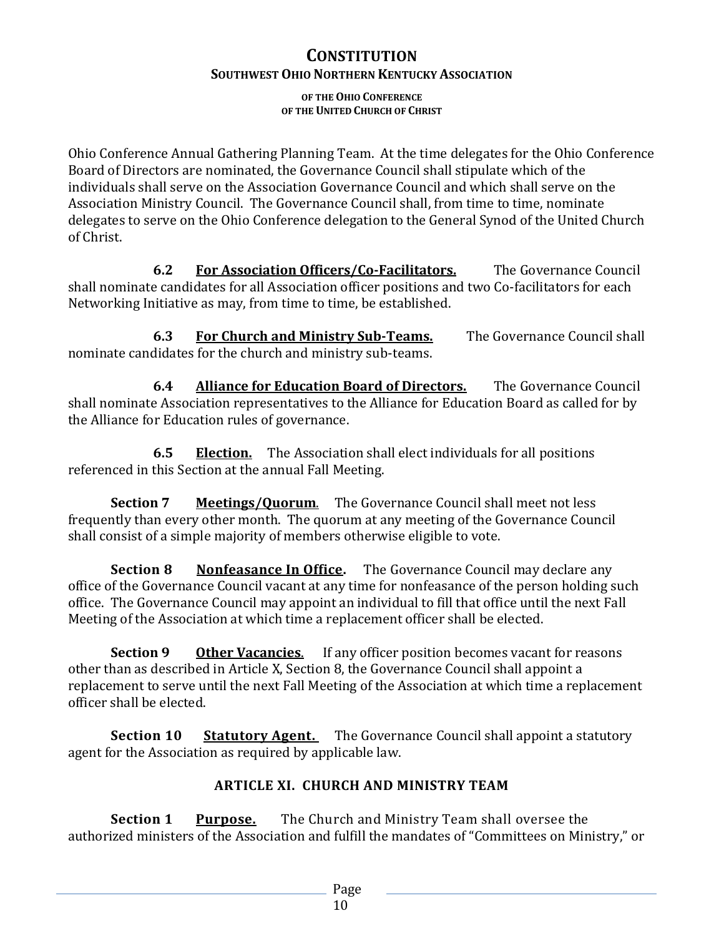# **CONSTITUTION**

### **SOUTHWEST OHIO NORTHERN KENTUCKY ASSOCIATION**

**OF THE OHIO CONFERENCE OF THE UNITED CHURCH OF CHRIST**

Ohio Conference Annual Gathering Planning Team. At the time delegates for the Ohio Conference Board of Directors are nominated, the Governance Council shall stipulate which of the individuals shall serve on the Association Governance Council and which shall serve on the Association Ministry Council. The Governance Council shall, from time to time, nominate delegates to serve on the Ohio Conference delegation to the General Synod of the United Church of Christ.

**6.2 For Association Officers/Co-Facilitators.** The Governance Council shall nominate candidates for all Association officer positions and two Co-facilitators for each Networking Initiative as may, from time to time, be established.

**6.3 For Church and Ministry Sub-Teams.** The Governance Council shall nominate candidates for the church and ministry sub-teams.

**6.4 Alliance for Education Board of Directors.** The Governance Council shall nominate Association representatives to the Alliance for Education Board as called for by the Alliance for Education rules of governance.

**6.5 Election.** The Association shall elect individuals for all positions referenced in this Section at the annual Fall Meeting.

**Section 7 Meetings/Quorum**. The Governance Council shall meet not less frequently than every other month. The quorum at any meeting of the Governance Council shall consist of a simple majority of members otherwise eligible to vote.

**Section 8 Nonfeasance In Office.** The Governance Council may declare any office of the Governance Council vacant at any time for nonfeasance of the person holding such office. The Governance Council may appoint an individual to fill that office until the next Fall Meeting of the Association at which time a replacement officer shall be elected.

**Section 9 Other Vacancies**. If any officer position becomes vacant for reasons other than as described in Article X, Section 8, the Governance Council shall appoint a replacement to serve until the next Fall Meeting of the Association at which time a replacement officer shall be elected.

**Section 10 Statutory Agent.** The Governance Council shall appoint a statutory agent for the Association as required by applicable law.

# **ARTICLE XI. CHURCH AND MINISTRY TEAM**

**Section 1 Purpose.** The Church and Ministry Team shall oversee the authorized ministers of the Association and fulfill the mandates of "Committees on Ministry," or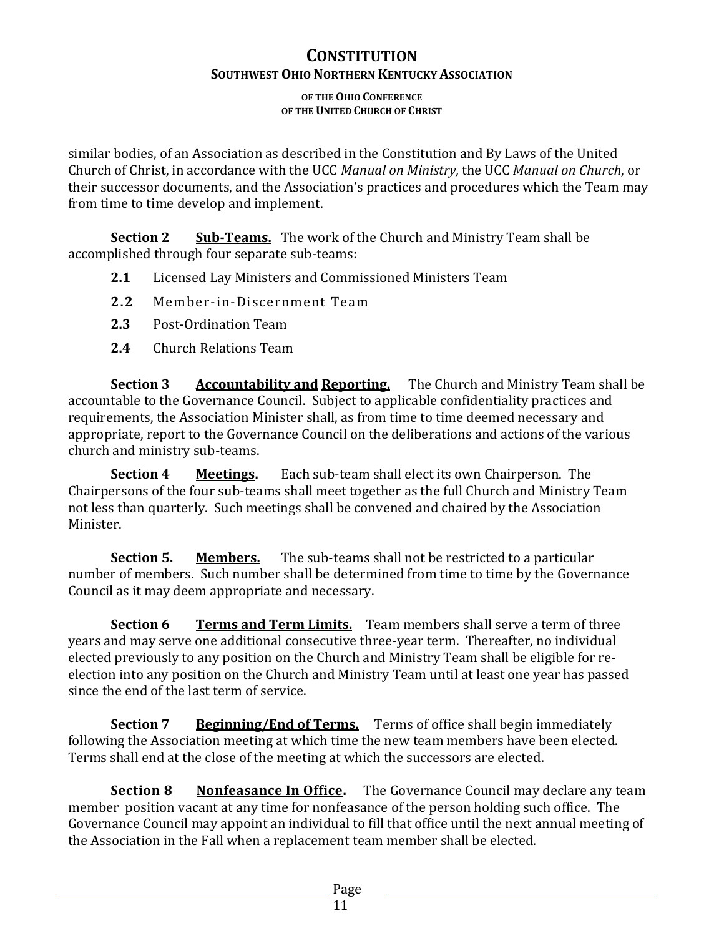### **OF THE OHIO CONFERENCE OF THE UNITED CHURCH OF CHRIST**

similar bodies, of an Association as described in the Constitution and By Laws of the United Church of Christ, in accordance with the UCC *Manual on Ministry,* the UCC *Manual on Church*, or their successor documents, and the Association's practices and procedures which the Team may from time to time develop and implement.

**Section 2 Sub-Teams.** The work of the Church and Ministry Team shall be accomplished through four separate sub-teams:

- **2.1** Licensed Lay Ministers and Commissioned Ministers Team
- **2.2** Member-in-Discernment Team
- **2.3** Post-Ordination Team
- **2.4** Church Relations Team

**Section 3 Accountability and Reporting.** The Church and Ministry Team shall be accountable to the Governance Council. Subject to applicable confidentiality practices and requirements, the Association Minister shall, as from time to time deemed necessary and appropriate, report to the Governance Council on the deliberations and actions of the various church and ministry sub-teams.

**Section 4 Meetings.** Each sub-team shall elect its own Chairperson. The Chairpersons of the four sub-teams shall meet together as the full Church and Ministry Team not less than quarterly. Such meetings shall be convened and chaired by the Association Minister.

**Section 5. Members.** The sub-teams shall not be restricted to a particular number of members. Such number shall be determined from time to time by the Governance Council as it may deem appropriate and necessary.

**Section 6 Terms and Term Limits.** Team members shall serve a term of three years and may serve one additional consecutive three-year term. Thereafter, no individual elected previously to any position on the Church and Ministry Team shall be eligible for reelection into any position on the Church and Ministry Team until at least one year has passed since the end of the last term of service.

**Section 7 Beginning/End of Terms.** Terms of office shall begin immediately following the Association meeting at which time the new team members have been elected. Terms shall end at the close of the meeting at which the successors are elected.

**Section 8 Nonfeasance In Office.** The Governance Council may declare any team member position vacant at any time for nonfeasance of the person holding such office. The Governance Council may appoint an individual to fill that office until the next annual meeting of the Association in the Fall when a replacement team member shall be elected.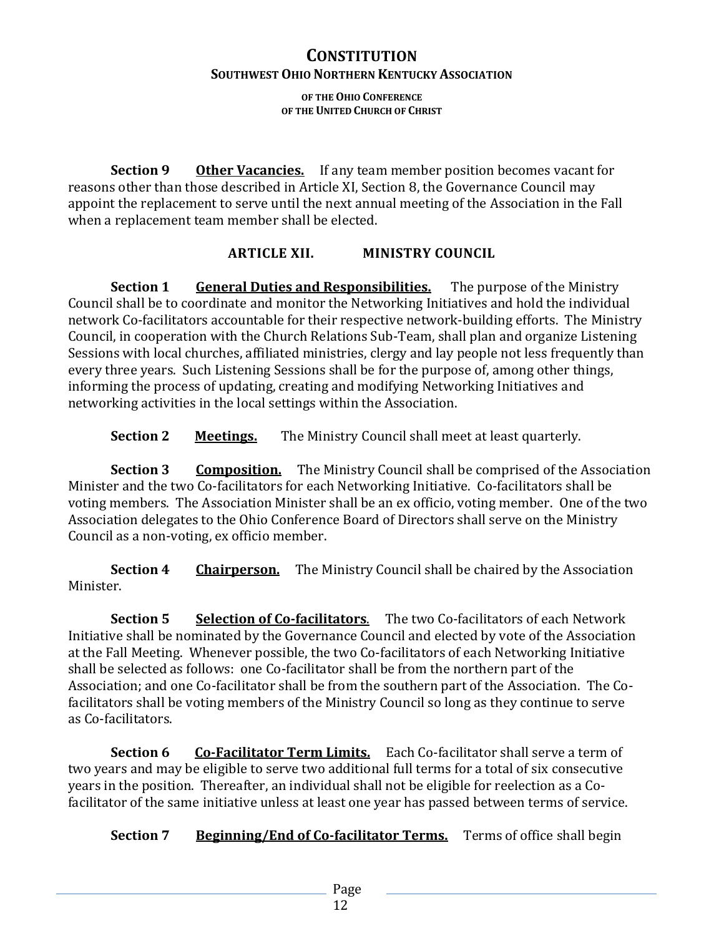**OF THE OHIO CONFERENCE OF THE UNITED CHURCH OF CHRIST**

**Section 9 Other Vacancies.** If any team member position becomes vacant for reasons other than those described in Article XI, Section 8, the Governance Council may appoint the replacement to serve until the next annual meeting of the Association in the Fall when a replacement team member shall be elected.

### **ARTICLE XII. MINISTRY COUNCIL**

**Section 1** General Duties and Responsibilities. The purpose of the Ministry Council shall be to coordinate and monitor the Networking Initiatives and hold the individual network Co-facilitators accountable for their respective network-building efforts. The Ministry Council, in cooperation with the Church Relations Sub-Team, shall plan and organize Listening Sessions with local churches, affiliated ministries, clergy and lay people not less frequently than every three years. Such Listening Sessions shall be for the purpose of, among other things, informing the process of updating, creating and modifying Networking Initiatives and networking activities in the local settings within the Association.

**Section 2** Meetings. The Ministry Council shall meet at least quarterly.

**Section 3 Composition.** The Ministry Council shall be comprised of the Association Minister and the two Co-facilitators for each Networking Initiative. Co-facilitators shall be voting members. The Association Minister shall be an ex officio, voting member. One of the two Association delegates to the Ohio Conference Board of Directors shall serve on the Ministry Council as a non-voting, ex officio member.

**Section 4 Chairperson.** The Ministry Council shall be chaired by the Association Minister.

**Section 5 Selection of Co-facilitators**. The two Co-facilitators of each Network Initiative shall be nominated by the Governance Council and elected by vote of the Association at the Fall Meeting. Whenever possible, the two Co-facilitators of each Networking Initiative shall be selected as follows: one Co-facilitator shall be from the northern part of the Association; and one Co-facilitator shall be from the southern part of the Association. The Cofacilitators shall be voting members of the Ministry Council so long as they continue to serve as Co-facilitators.

**Section 6 Co-Facilitator Term Limits.** Each Co-facilitator shall serve a term of two years and may be eligible to serve two additional full terms for a total of six consecutive years in the position. Thereafter, an individual shall not be eligible for reelection as a Cofacilitator of the same initiative unless at least one year has passed between terms of service.

**Section 7 Beginning/End of Co-facilitator Terms.** Terms of office shall begin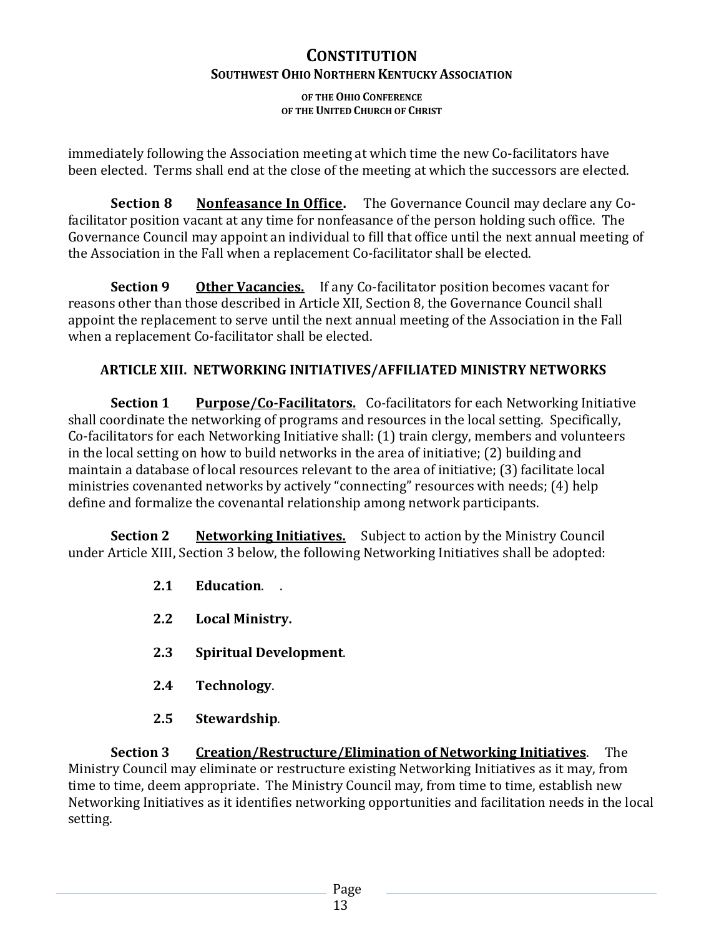**OF THE OHIO CONFERENCE OF THE UNITED CHURCH OF CHRIST**

immediately following the Association meeting at which time the new Co-facilitators have been elected. Terms shall end at the close of the meeting at which the successors are elected.

**Section 8 Nonfeasance In Office.** The Governance Council may declare any Cofacilitator position vacant at any time for nonfeasance of the person holding such office. The Governance Council may appoint an individual to fill that office until the next annual meeting of the Association in the Fall when a replacement Co-facilitator shall be elected.

**Section 9 Other Vacancies.** If any Co-facilitator position becomes vacant for reasons other than those described in Article XII, Section 8, the Governance Council shall appoint the replacement to serve until the next annual meeting of the Association in the Fall when a replacement Co-facilitator shall be elected.

# **ARTICLE XIII. NETWORKING INITIATIVES/AFFILIATED MINISTRY NETWORKS**

**Section 1 Purpose/Co-Facilitators.** Co-facilitators for each Networking Initiative shall coordinate the networking of programs and resources in the local setting. Specifically, Co-facilitators for each Networking Initiative shall: (1) train clergy, members and volunteers in the local setting on how to build networks in the area of initiative; (2) building and maintain a database of local resources relevant to the area of initiative; (3) facilitate local ministries covenanted networks by actively "connecting" resources with needs; (4) help define and formalize the covenantal relationship among network participants.

**Section 2 Networking Initiatives.** Subject to action by the Ministry Council under Article XIII, Section 3 below, the following Networking Initiatives shall be adopted:

- **2.1 Education**. .
- **2.2 Local Ministry.**
- **2.3 Spiritual Development**.
- **2.4 Technology**.
- **2.5 Stewardship**.

**Section 3 Creation/Restructure/Elimination of Networking Initiatives**. The Ministry Council may eliminate or restructure existing Networking Initiatives as it may, from time to time, deem appropriate. The Ministry Council may, from time to time, establish new Networking Initiatives as it identifies networking opportunities and facilitation needs in the local setting.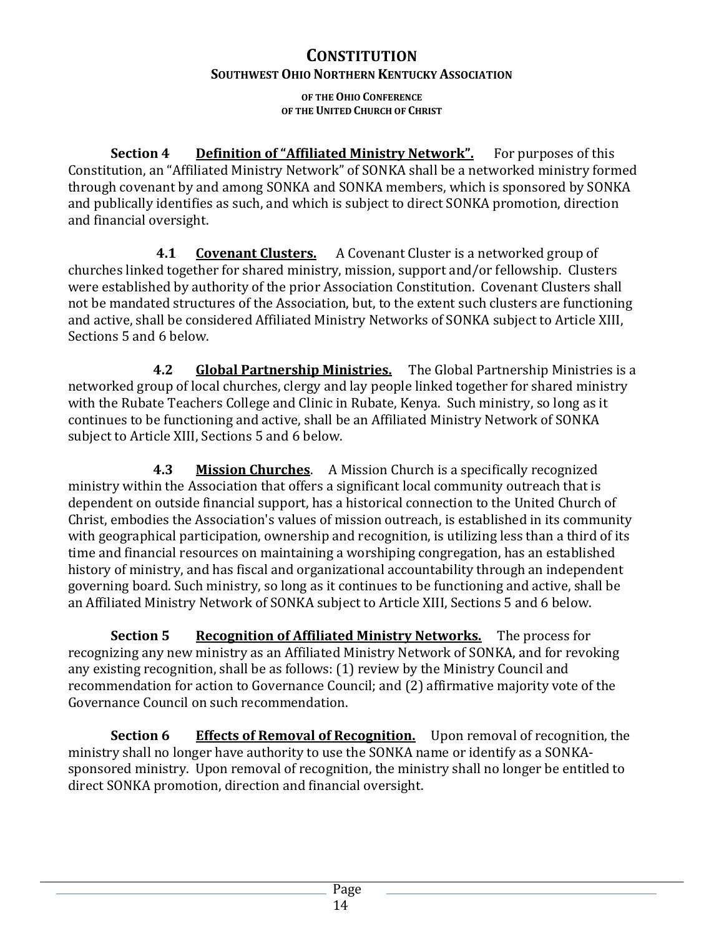# **CONSTITUTION**

# **SOUTHWEST OHIO NORTHERN KENTUCKY ASSOCIATION**

**OF THE OHIO CONFERENCE OF THE UNITED CHURCH OF CHRIST**

**Section 4 Definition of "Affiliated Ministry Network".** For purposes of this Constitution, an "Affiliated Ministry Network" of SONKA shall be a networked ministry formed through covenant by and among SONKA and SONKA members, which is sponsored by SONKA and publically identifies as such, and which is subject to direct SONKA promotion, direction and financial oversight.

**4.1 Covenant Clusters.** A Covenant Cluster is a networked group of churches linked together for shared ministry, mission, support and/or fellowship. Clusters were established by authority of the prior Association Constitution. Covenant Clusters shall not be mandated structures of the Association, but, to the extent such clusters are functioning and active, shall be considered Affiliated Ministry Networks of SONKA subject to Article XIII, Sections 5 and 6 below.

**4.2 Global Partnership Ministries.** The Global Partnership Ministries is a networked group of local churches, clergy and lay people linked together for shared ministry with the Rubate Teachers College and Clinic in Rubate, Kenya. Such ministry, so long as it continues to be functioning and active, shall be an Affiliated Ministry Network of SONKA subject to Article XIII, Sections 5 and 6 below.

**4.3 Mission Churches**. A Mission Church is a specifically recognized ministry within the Association that offers a significant local community outreach that is dependent on outside financial support, has a historical connection to the United Church of Christ, embodies the Association's values of mission outreach, is established in its community with geographical participation, ownership and recognition, is utilizing less than a third of its time and financial resources on maintaining a worshiping congregation, has an established history of ministry, and has fiscal and organizational accountability through an independent governing board. Such ministry, so long as it continues to be functioning and active, shall be an Affiliated Ministry Network of SONKA subject to Article XIII, Sections 5 and 6 below.

**Section 5 Recognition of Affiliated Ministry Networks.** The process for recognizing any new ministry as an Affiliated Ministry Network of SONKA, and for revoking any existing recognition, shall be as follows: (1) review by the Ministry Council and recommendation for action to Governance Council; and (2) affirmative majority vote of the Governance Council on such recommendation.

**Section 6 Effects of Removal of Recognition.** Upon removal of recognition, the ministry shall no longer have authority to use the SONKA name or identify as a SONKAsponsored ministry. Upon removal of recognition, the ministry shall no longer be entitled to direct SONKA promotion, direction and financial oversight.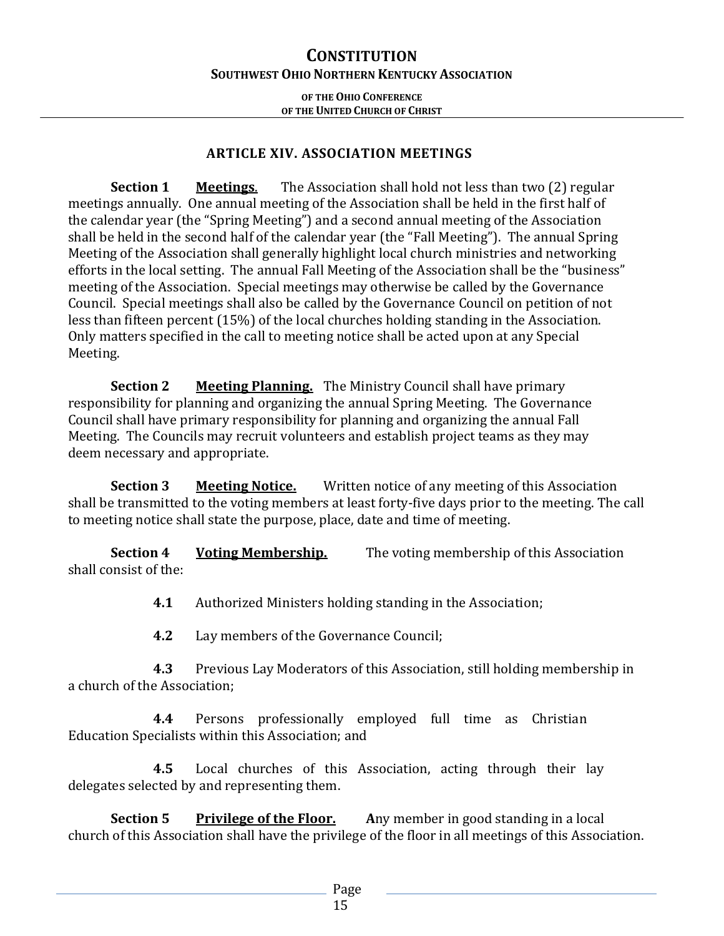**OF THE OHIO CONFERENCE OF THE UNITED CHURCH OF CHRIST**

### **ARTICLE XIV. ASSOCIATION MEETINGS**

**Section 1 Meetings**. The Association shall hold not less than two (2) regular meetings annually. One annual meeting of the Association shall be held in the first half of the calendar year (the "Spring Meeting") and a second annual meeting of the Association shall be held in the second half of the calendar year (the "Fall Meeting"). The annual Spring Meeting of the Association shall generally highlight local church ministries and networking efforts in the local setting. The annual Fall Meeting of the Association shall be the "business" meeting of the Association. Special meetings may otherwise be called by the Governance Council. Special meetings shall also be called by the Governance Council on petition of not less than fifteen percent (15%) of the local churches holding standing in the Association. Only matters specified in the call to meeting notice shall be acted upon at any Special Meeting.

**Section 2 Meeting Planning.** The Ministry Council shall have primary responsibility for planning and organizing the annual Spring Meeting. The Governance Council shall have primary responsibility for planning and organizing the annual Fall Meeting. The Councils may recruit volunteers and establish project teams as they may deem necessary and appropriate.

**Section 3 Meeting Notice.** Written notice of any meeting of this Association shall be transmitted to the voting members at least forty-five days prior to the meeting. The call to meeting notice shall state the purpose, place, date and time of meeting.

**Section 4 Voting Membership.** The voting membership of this Association shall consist of the:

**4.1** Authorized Ministers holding standing in the Association;

**4.2** Lay members of the Governance Council;

**4.3** Previous Lay Moderators of this Association, still holding membership in a church of the Association;

**4.4** Persons professionally employed full time as Christian Education Specialists within this Association; and

**4.5** Local churches of this Association, acting through their lay delegates selected by and representing them.

**Section 5 Privilege of the Floor. A**ny member in good standing in a local church of this Association shall have the privilege of the floor in all meetings of this Association.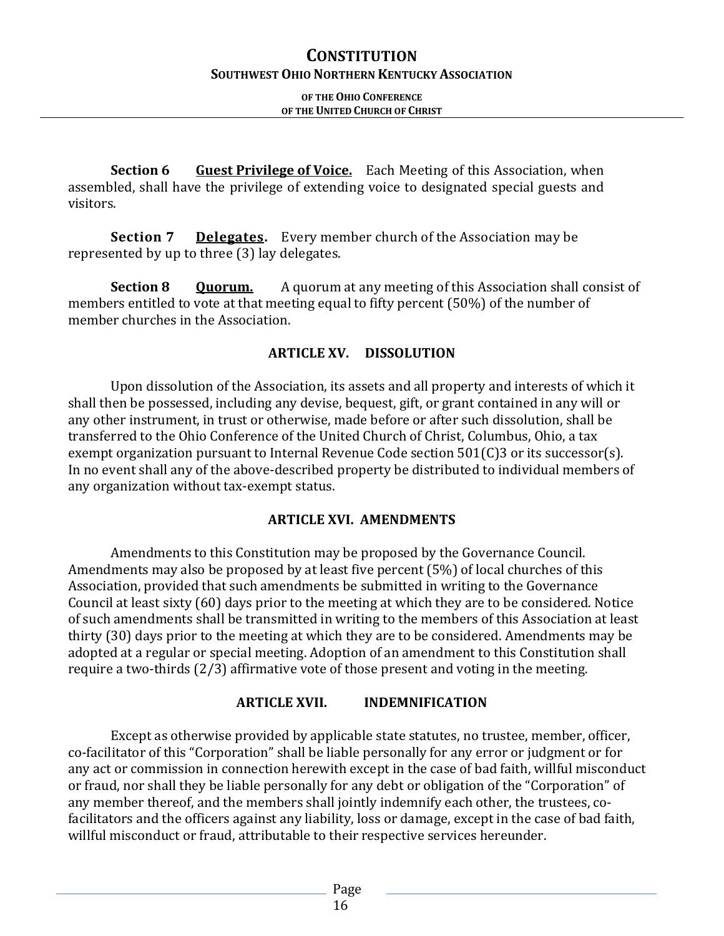### **OF THE OHIO CONFERENCE OF THE UNITED CHURCH OF CHRIST**

**Section 6 Guest Privilege of Voice.** Each Meeting of this Association, when assembled, shall have the privilege of extending voice to designated special guests and visitors.

**Section 7 Delegates.** Every member church of the Association may be represented by up to three (3) lay delegates.

**Section 8 Quorum.** A quorum at any meeting of this Association shall consist of members entitled to vote at that meeting equal to fifty percent (50%) of the number of member churches in the Association.

### **ARTICLE XV. DISSOLUTION**

Upon dissolution of the Association, its assets and all property and interests of which it shall then be possessed, including any devise, bequest, gift, or grant contained in any will or any other instrument, in trust or otherwise, made before or after such dissolution, shall be transferred to the Ohio Conference of the United Church of Christ, Columbus, Ohio, a tax exempt organization pursuant to Internal Revenue Code section 501(C)3 or its successor(s). In no event shall any of the above-described property be distributed to individual members of any organization without tax-exempt status.

### **ARTICLE XVI. AMENDMENTS**

Amendments to this Constitution may be proposed by the Governance Council. Amendments may also be proposed by at least five percent (5%) of local churches of this Association, provided that such amendments be submitted in writing to the Governance Council at least sixty (60) days prior to the meeting at which they are to be considered. Notice of such amendments shall be transmitted in writing to the members of this Association at least thirty (30) days prior to the meeting at which they are to be considered. Amendments may be adopted at a regular or special meeting. Adoption of an amendment to this Constitution shall require a two-thirds (2/3) affirmative vote of those present and voting in the meeting.

### **ARTICLE XVII. INDEMNIFICATION**

Except as otherwise provided by applicable state statutes, no trustee, member, officer, co-facilitator of this "Corporation" shall be liable personally for any error or judgment or for any act or commission in connection herewith except in the case of bad faith, willful misconduct or fraud, nor shall they be liable personally for any debt or obligation of the "Corporation" of any member thereof, and the members shall jointly indemnify each other, the trustees, cofacilitators and the officers against any liability, loss or damage, except in the case of bad faith, willful misconduct or fraud, attributable to their respective services hereunder.